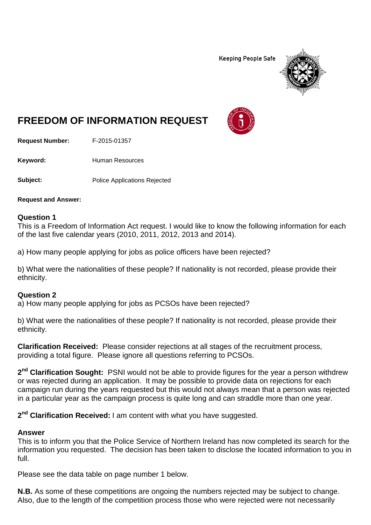**Keeping People Safe** 



## **FREEDOM OF INFORMATION REQUEST**

**Request Number:** F-2015-01357

Keyword: Human Resources

**Subject:** Police Applications Rejected

**Request and Answer:**

## **Question 1**

This is a Freedom of Information Act request. I would like to know the following information for each of the last five calendar years (2010, 2011, 2012, 2013 and 2014).

a) How many people applying for jobs as police officers have been rejected?

b) What were the nationalities of these people? If nationality is not recorded, please provide their ethnicity.

## **Question 2**

a) How many people applying for jobs as PCSOs have been rejected?

b) What were the nationalities of these people? If nationality is not recorded, please provide their ethnicity.

**Clarification Received:** Please consider rejections at all stages of the recruitment process, providing a total figure. Please ignore all questions referring to PCSOs.

**2nd Clarification Sought:** PSNI would not be able to provide figures for the year a person withdrew or was rejected during an application. It may be possible to provide data on rejections for each campaign run during the years requested but this would not always mean that a person was rejected in a particular year as the campaign process is quite long and can straddle more than one year.

**2nd Clarification Received:** I am content with what you have suggested.

## **Answer**

This is to inform you that the Police Service of Northern Ireland has now completed its search for the information you requested. The decision has been taken to disclose the located information to you in full.

Please see the data table on page number 1 below.

**N.B.** As some of these competitions are ongoing the numbers rejected may be subject to change. Also, due to the length of the competition process those who were rejected were not necessarily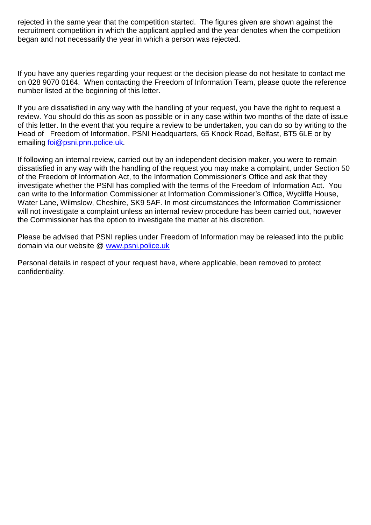rejected in the same year that the competition started. The figures given are shown against the recruitment competition in which the applicant applied and the year denotes when the competition began and not necessarily the year in which a person was rejected.

If you have any queries regarding your request or the decision please do not hesitate to contact me on 028 9070 0164. When contacting the Freedom of Information Team, please quote the reference number listed at the beginning of this letter.

If you are dissatisfied in any way with the handling of your request, you have the right to request a review. You should do this as soon as possible or in any case within two months of the date of issue of this letter. In the event that you require a review to be undertaken, you can do so by writing to the Head of Freedom of Information, PSNI Headquarters, 65 Knock Road, Belfast, BT5 6LE or by emailing [foi@psni.pnn.police.uk.](mailto:foi@psni.pnn.police.uk)

If following an internal review, carried out by an independent decision maker, you were to remain dissatisfied in any way with the handling of the request you may make a complaint, under Section 50 of the Freedom of Information Act, to the Information Commissioner's Office and ask that they investigate whether the PSNI has complied with the terms of the Freedom of Information Act. You can write to the Information Commissioner at Information Commissioner's Office, Wycliffe House, Water Lane, Wilmslow, Cheshire, SK9 5AF. In most circumstances the Information Commissioner will not investigate a complaint unless an internal review procedure has been carried out, however the Commissioner has the option to investigate the matter at his discretion.

Please be advised that PSNI replies under Freedom of Information may be released into the public domain via our website @ [www.psni.police.uk](http://www.psni.police.uk/)

Personal details in respect of your request have, where applicable, been removed to protect confidentiality.